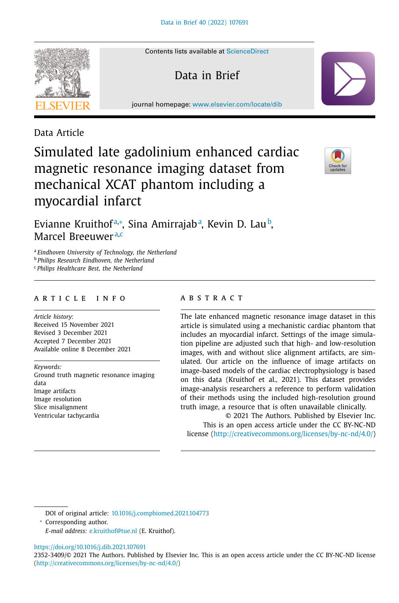Contents lists available at [ScienceDirect](http://www.ScienceDirect.com)

Data in Brief

journal homepage: [www.elsevier.com/locate/dib](http://www.elsevier.com/locate/dib)

Data Article

Simulated late gadolinium enhanced cardiac magnetic resonance imaging dataset from mechanical XCAT phantom including a myocardial infarct



Evianne Kruithofª,\*, Sina Amirrajabª, Kevin D. Lau♭, Marcel Breeuwer<sup>a,c</sup>

<sup>a</sup> *Eindhoven University of Technology, the Netherland*

<sup>b</sup> *Philips Research Eindhoven, the Netherland*

<sup>c</sup> *Philips Healthcare Best, the Netherland*

# a r t i c l e i n f o

*Article history:* Received 15 November 2021 Revised 3 December 2021 Accepted 7 December 2021 Available online 8 December 2021

*Keywords:* Ground truth magnetic resonance imaging data Image artifacts Image resolution Slice misalignment Ventricular tachycardia

# a b s t r a c t

The late enhanced magnetic resonance image dataset in this article is simulated using a mechanistic cardiac phantom that includes an myocardial infarct. Settings of the image simulation pipeline are adjusted such that high- and low-resolution images, with and without slice alignment artifacts, are simulated. Our article on the influence of image artifacts on image-based models of the cardiac electrophysiology is based on this data (Kruithof et al., 2021). This dataset provides image-analysis researchers a reference to perform validation of their methods using the included high-resolution ground truth image, a resource that is often unavailable clinically.

© 2021 The Authors. Published by Elsevier Inc. This is an open access article under the CC BY-NC-ND license [\(http://creativecommons.org/licenses/by-nc-nd/4.0/\)](http://creativecommons.org/licenses/by-nc-nd/4.0/)

DOI of original article: [10.1016/j.compbiomed.2021.104773](https://doi.org/10.1016/j.compbiomed.2021.104773)

<sup>∗</sup> Corresponding author.

*E-mail address:* [e.kruithof@tue.nl](mailto:e.kruithof@tue.nl) (E. Kruithof).

<https://doi.org/10.1016/j.dib.2021.107691>

2352-3409/© 2021 The Authors. Published by Elsevier Inc. This is an open access article under the CC BY-NC-ND license [\(http://creativecommons.org/licenses/by-nc-nd/4.0/\)](http://creativecommons.org/licenses/by-nc-nd/4.0/)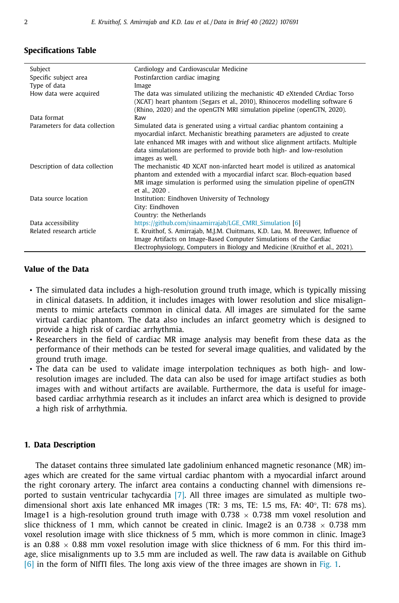## **Specifications Table**

| Subject                        | Cardiology and Cardiovascular Medicine                                                                                                                                                                                                                                                                                                |
|--------------------------------|---------------------------------------------------------------------------------------------------------------------------------------------------------------------------------------------------------------------------------------------------------------------------------------------------------------------------------------|
| Specific subject area          | Postinfarction cardiac imaging                                                                                                                                                                                                                                                                                                        |
| Type of data                   | Image                                                                                                                                                                                                                                                                                                                                 |
| How data were acquired         | The data was simulated utilizing the mechanistic 4D eXtended CArdiac Torso<br>(XCAT) heart phantom (Segars et al., 2010), Rhinoceros modelling software 6<br>(Rhino, 2020) and the openGTN MRI simulation pipeline (openGTN, 2020).                                                                                                   |
| Data format                    | Raw                                                                                                                                                                                                                                                                                                                                   |
| Parameters for data collection | Simulated data is generated using a virtual cardiac phantom containing a<br>myocardial infarct. Mechanistic breathing parameters are adjusted to create<br>late enhanced MR images with and without slice alignment artifacts. Multiple<br>data simulations are performed to provide both high- and low-resolution<br>images as well. |
| Description of data collection | The mechanistic 4D XCAT non-infarcted heart model is utilized as anatomical<br>phantom and extended with a myocardial infarct scar. Bloch-equation based<br>MR image simulation is performed using the simulation pipeline of openGTN<br>et al., 2020.                                                                                |
| Data source location           | Institution: Eindhoven University of Technology<br>City: Eindhoven<br>Country: the Netherlands                                                                                                                                                                                                                                        |
| Data accessibility             | https://github.com/sinaamirrajab/LGE_CMRI_Simulation [6]                                                                                                                                                                                                                                                                              |
| Related research article       | E. Kruithof, S. Amirrajab, M.J.M. Cluitmans, K.D. Lau, M. Breeuwer, Influence of<br>Image Artifacts on Image-Based Computer Simulations of the Cardiac<br>Electrophysiology, Computers in Biology and Medicine (Kruithof et al., 2021).                                                                                               |

## **Value of the Data**

- The simulated data includes a high-resolution ground truth image, which is typically missing in clinical datasets. In addition, it includes images with lower resolution and slice misalignments to mimic artefacts common in clinical data. All images are simulated for the same virtual cardiac phantom. The data also includes an infarct geometry which is designed to provide a high risk of cardiac arrhythmia.
- Researchers in the field of cardiac MR image analysis may benefit from these data as the performance of their methods can be tested for several image qualities, and validated by the ground truth image.
- The data can be used to validate image interpolation techniques as both high- and lowresolution images are included. The data can also be used for image artifact studies as both images with and without artifacts are available. Furthermore, the data is useful for imagebased cardiac arrhythmia research as it includes an infarct area which is designed to provide a high risk of arrhythmia.

## **1. Data Description**

The dataset contains three simulated late gadolinium enhanced magnetic resonance (MR) images which are created for the same virtual cardiac phantom with a myocardial infarct around the right coronary artery. The infarct area contains a conducting channel with dimensions reported to sustain ventricular tachycardia [\[7\].](#page-4-0) All three images are simulated as multiple twodimensional short axis late enhanced MR images (TR: 3 ms, TE: 1.5 ms, FA: 40°, TI: 678 ms). Image1 is a high-resolution ground truth image with  $0.738 \times 0.738$  mm voxel resolution and slice thickness of 1 mm, which cannot be created in clinic. Image2 is an 0.738  $\times$  0.738 mm voxel resolution image with slice thickness of 5 mm, which is more common in clinic. Image3 is an 0.88  $\times$  0.88 mm voxel resolution image with slice thickness of 6 mm. For this third image, slice misalignments up to 3.5 mm are included as well. The raw data is available on Github [\[6\]](#page-3-0) in the form of NIfTI files. The long axis view of the three images are shown in [Fig.](#page-2-0) 1.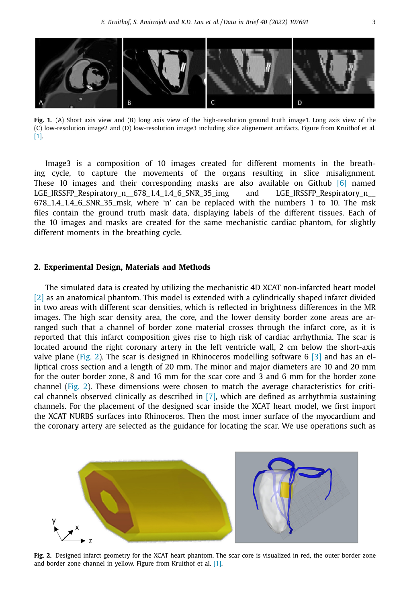<span id="page-2-0"></span>

Fig. 1. (A) Short axis view and (B) long axis view of the high-resolution ground truth image1. Long axis view of the (C) low-resolution image2 and (D) low-resolution image3 including slice alignement artifacts. Figure from Kruithof et al. [\[1\].](#page-3-0)

Image3 is a composition of 10 images created for different moments in the breathing cycle, to capture the movements of the organs resulting in slice misalignment. These 10 images and their corresponding masks are also available on Github  $[6]$  named LGE\_IRSSFP\_Respiratory\_n\_\_678\_1.4\_1.4\_6\_SNR\_35\_img and LGE\_IRSSFP\_Respiratory\_n\_\_ 678\_1.4\_1.4\_6\_SNR\_35\_msk, where 'n' can be replaced with the numbers 1 to 10. The msk files contain the ground truth mask data, displaying labels of the different tissues. Each of the 10 images and masks are created for the same mechanistic cardiac phantom, for slightly different moments in the breathing cycle.

#### **2. Experimental Design, Materials and Methods**

The simulated data is created by utilizing the mechanistic 4D XCAT non-infarcted heart model [\[2\]](#page-3-0) as an anatomical phantom. This model is extended with a cylindrically shaped infarct divided in two areas with different scar densities, which is reflected in brightness differences in the MR images. The high scar density area, the core, and the lower density border zone areas are arranged such that a channel of border zone material crosses through the infarct core, as it is reported that this infarct composition gives rise to high risk of cardiac arrhythmia. The scar is located around the right coronary artery in the left ventricle wall, 2 cm below the short-axis valve plane (Fig. 2). The scar is designed in Rhinoceros modelling software 6 [\[3\]](#page-3-0) and has an elliptical cross section and a length of 20 mm. The minor and major diameters are 10 and 20 mm for the outer border zone, 8 and 16 mm for the scar core and 3 and 6 mm for the border zone channel (Fig. 2). These dimensions were chosen to match the average characteristics for critical channels observed clinically as described in [\[7\],](#page-4-0) which are defined as arrhythmia sustaining channels. For the placement of the designed scar inside the XCAT heart model, we first import the XCAT NURBS surfaces into Rhinoceros. Then the most inner surface of the myocardium and the coronary artery are selected as the guidance for locating the scar. We use operations such as



**Fig. 2.** Designed infarct geometry for the XCAT heart phantom. The scar core is visualized in red, the outer border zone and border zone channel in yellow. Figure from Kruithof et al. [\[1\].](#page-3-0)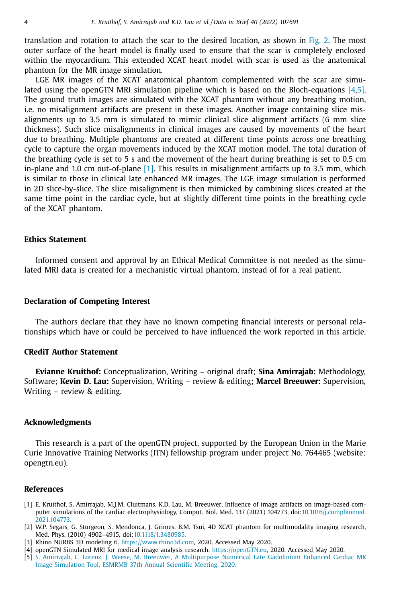<span id="page-3-0"></span>translation and rotation to attach the scar to the desired location, as shown in [Fig.](#page-2-0) 2. The most outer surface of the heart model is finally used to ensure that the scar is completely enclosed within the myocardium. This extended XCAT heart model with scar is used as the anatomical phantom for the MR image simulation.

LGE MR images of the XCAT anatomical phantom complemented with the scar are simulated using the openGTN MRI simulation pipeline which is based on the Bloch-equations [4,5]. The ground truth images are simulated with the XCAT phantom without any breathing motion, i.e. no misalignment artifacts are present in these images. Another image containing slice misalignments up to 3.5 mm is simulated to mimic clinical slice alignment artifacts (6 mm slice thickness). Such slice misalignments in clinical images are caused by movements of the heart due to breathing. Multiple phantoms are created at different time points across one breathing cycle to capture the organ movements induced by the XCAT motion model. The total duration of the breathing cycle is set to 5 s and the movement of the heart during breathing is set to 0.5 cm in-plane and 1.0 cm out-of-plane [1]. This results in misalignment artifacts up to 3.5 mm, which is similar to those in clinical late enhanced MR images. The LGE image simulation is performed in 2D slice-by-slice. The slice misalignment is then mimicked by combining slices created at the same time point in the cardiac cycle, but at slightly different time points in the breathing cycle of the XCAT phantom.

#### **Ethics Statement**

Informed consent and approval by an Ethical Medical Committee is not needed as the simulated MRI data is created for a mechanistic virtual phantom, instead of for a real patient.

#### **Declaration of Competing Interest**

The authors declare that they have no known competing financial interests or personal relationships which have or could be perceived to have influenced the work reported in this article.

#### **CRediT Author Statement**

**Evianne Kruithof:** Conceptualization, Writing – original draft; **Sina Amirrajab:** Methodology, Software; **Kevin D. Lau:** Supervision, Writing – review & editing; **Marcel Breeuwer:** Supervision, Writing – review & editing.

#### **Acknowledgments**

This research is a part of the openGTN project, supported by the European Union in the Marie Curie Innovative Training Networks (ITN) fellowship program under project No. 764465 (website: opengtn.eu).

# **References**

- [1] E. Kruithof, S. Amirrajab, M.J.M. Cluitmans, K.D. Lau, M. Breeuwer, Influence of image artifacts on image-based computer simulations of the cardiac electrophysiology, Comput. Biol. Med. 137 (2021) 104773, [doi:10.1016/j.compbiomed.](https://doi.org/10.1016/j.compbiomed.2021.104773) 2021.104773.
- [2] W.P. Segars, G. Sturgeon, S. Mendonca, J. Grimes, B.M. Tsui, 4D XCAT phantom for multimodality imaging research, Med. Phys. (2010) 4902–4915, doi[:10.1118/1.3480985.](https://doi.org/10.1118/1.3480985)
- [3] Rhino NURBS 3D modeling 6. [https://www.rhino3d.com,](https://www.rhino3d.com) 2020. Accessed May 2020.
- [4] openGTN Simulated MRI for medical image analysis research. [https://openGTN.eu,](https://openGTN.eu) 2020. Accessed May 2020.
- [5] S. [Amirrajab,](http://refhub.elsevier.com/S2352-3409(21)00966-5/sbref0005) C. [Lorenz,](http://refhub.elsevier.com/S2352-3409(21)00966-5/sbref0005) J. [Weese,](http://refhub.elsevier.com/S2352-3409(21)00966-5/sbref0005) M. [Breeuwer,](http://refhub.elsevier.com/S2352-3409(21)00966-5/sbref0005) A [Multipurpose](http://refhub.elsevier.com/S2352-3409(21)00966-5/sbref0005) Numerical Late Gadolinium Enhanced Cardiac MR Image Simulation Tool, ESMRMB 37th Annual Scientific Meeting, 2020.